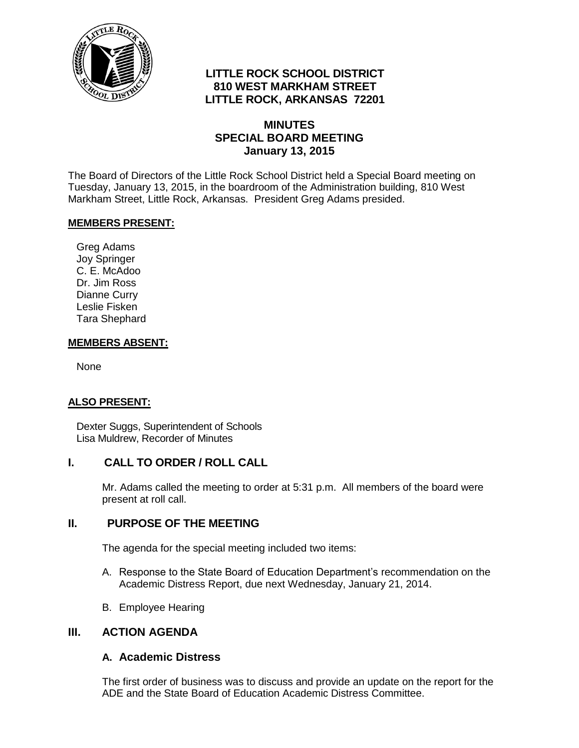

# **LITTLE ROCK SCHOOL DISTRICT 810 WEST MARKHAM STREET LITTLE ROCK, ARKANSAS 72201**

## **MINUTES SPECIAL BOARD MEETING January 13, 2015**

The Board of Directors of the Little Rock School District held a Special Board meeting on Tuesday, January 13, 2015, in the boardroom of the Administration building, 810 West Markham Street, Little Rock, Arkansas. President Greg Adams presided.

#### **MEMBERS PRESENT:**

Greg Adams Joy Springer C. E. McAdoo Dr. Jim Ross Dianne Curry Leslie Fisken Tara Shephard

### **MEMBERS ABSENT:**

None

## **ALSO PRESENT:**

Dexter Suggs, Superintendent of Schools Lisa Muldrew, Recorder of Minutes

## **I. CALL TO ORDER / ROLL CALL**

Mr. Adams called the meeting to order at 5:31 p.m. All members of the board were present at roll call.

## **II. PURPOSE OF THE MEETING**

The agenda for the special meeting included two items:

- A. Response to the State Board of Education Department's recommendation on the Academic Distress Report, due next Wednesday, January 21, 2014.
- B. Employee Hearing

#### **III. ACTION AGENDA**

#### **A. Academic Distress**

The first order of business was to discuss and provide an update on the report for the ADE and the State Board of Education Academic Distress Committee.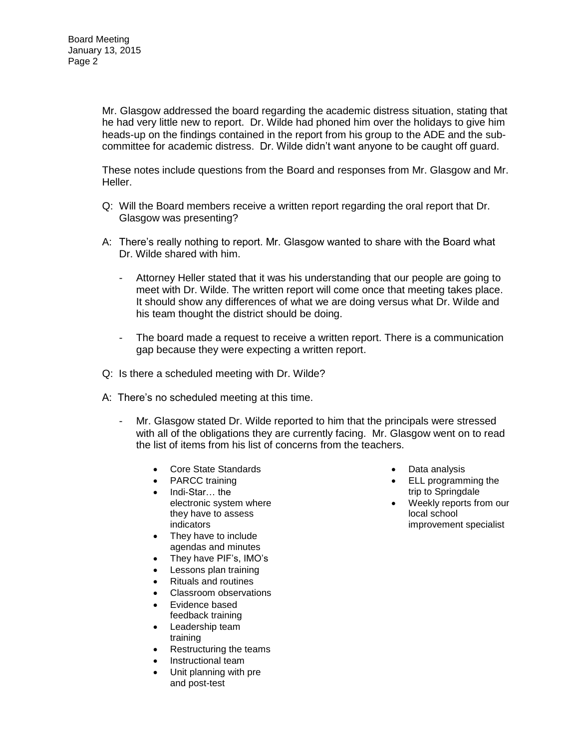Mr. Glasgow addressed the board regarding the academic distress situation, stating that he had very little new to report. Dr. Wilde had phoned him over the holidays to give him heads-up on the findings contained in the report from his group to the ADE and the subcommittee for academic distress. Dr. Wilde didn't want anyone to be caught off guard.

These notes include questions from the Board and responses from Mr. Glasgow and Mr. Heller.

- Q: Will the Board members receive a written report regarding the oral report that Dr. Glasgow was presenting?
- A: There's really nothing to report. Mr. Glasgow wanted to share with the Board what Dr. Wilde shared with him.
	- Attorney Heller stated that it was his understanding that our people are going to meet with Dr. Wilde. The written report will come once that meeting takes place. It should show any differences of what we are doing versus what Dr. Wilde and his team thought the district should be doing.
	- The board made a request to receive a written report. There is a communication gap because they were expecting a written report.
- Q: Is there a scheduled meeting with Dr. Wilde?
- A: There's no scheduled meeting at this time.
	- Mr. Glasgow stated Dr. Wilde reported to him that the principals were stressed with all of the obligations they are currently facing. Mr. Glasgow went on to read the list of items from his list of concerns from the teachers.
		- Core State Standards
		- PARCC training
		- Indi-Star… the electronic system where they have to assess indicators
		- They have to include agendas and minutes
		- They have PIF's, IMO's
		- Lessons plan training
		- Rituals and routines
		- Classroom observations
		- Evidence based feedback training
		- Leadership team training
		- Restructuring the teams
		- Instructional team
		- Unit planning with pre and post-test
- Data analysis
- **ELL programming the** trip to Springdale
- Weekly reports from our local school improvement specialist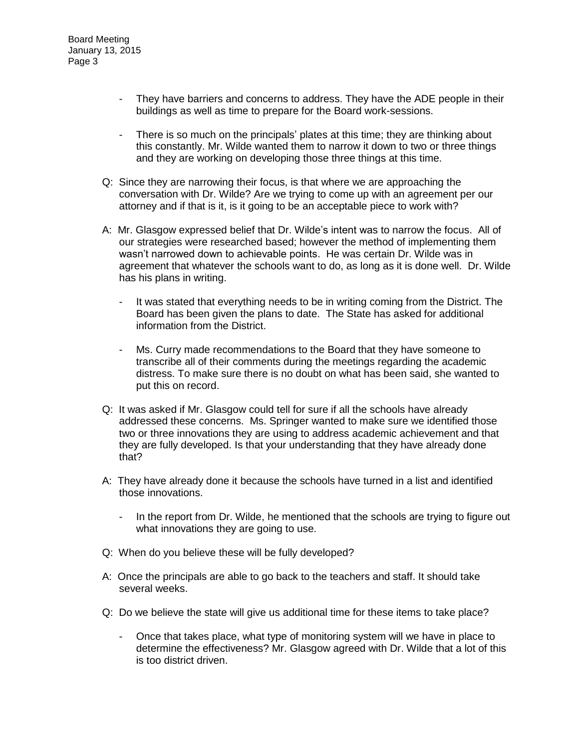- They have barriers and concerns to address. They have the ADE people in their buildings as well as time to prepare for the Board work-sessions.
- There is so much on the principals' plates at this time; they are thinking about this constantly. Mr. Wilde wanted them to narrow it down to two or three things and they are working on developing those three things at this time.
- Q: Since they are narrowing their focus, is that where we are approaching the conversation with Dr. Wilde? Are we trying to come up with an agreement per our attorney and if that is it, is it going to be an acceptable piece to work with?
- A: Mr. Glasgow expressed belief that Dr. Wilde's intent was to narrow the focus. All of our strategies were researched based; however the method of implementing them wasn't narrowed down to achievable points. He was certain Dr. Wilde was in agreement that whatever the schools want to do, as long as it is done well. Dr. Wilde has his plans in writing.
	- It was stated that everything needs to be in writing coming from the District. The Board has been given the plans to date. The State has asked for additional information from the District.
	- Ms. Curry made recommendations to the Board that they have someone to transcribe all of their comments during the meetings regarding the academic distress. To make sure there is no doubt on what has been said, she wanted to put this on record.
- Q: It was asked if Mr. Glasgow could tell for sure if all the schools have already addressed these concerns. Ms. Springer wanted to make sure we identified those two or three innovations they are using to address academic achievement and that they are fully developed. Is that your understanding that they have already done that?
- A: They have already done it because the schools have turned in a list and identified those innovations.
	- In the report from Dr. Wilde, he mentioned that the schools are trying to figure out what innovations they are going to use.
- Q: When do you believe these will be fully developed?
- A: Once the principals are able to go back to the teachers and staff. It should take several weeks.
- Q: Do we believe the state will give us additional time for these items to take place?
	- Once that takes place, what type of monitoring system will we have in place to determine the effectiveness? Mr. Glasgow agreed with Dr. Wilde that a lot of this is too district driven.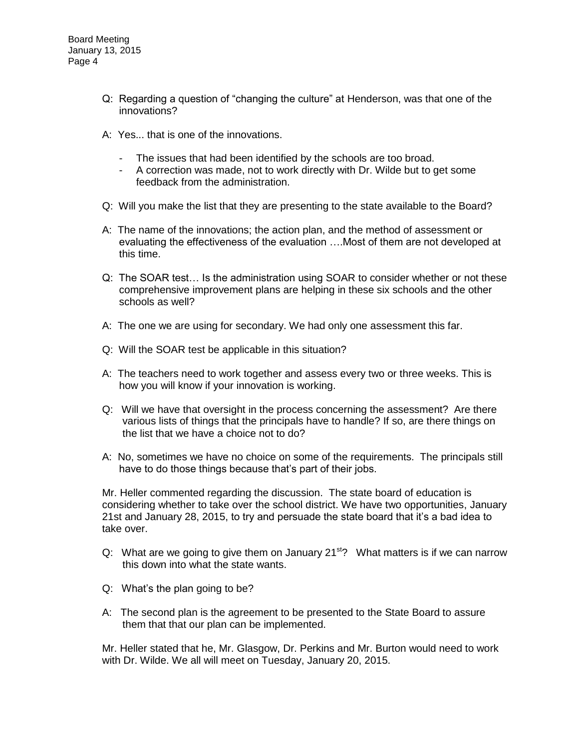- Q: Regarding a question of "changing the culture" at Henderson, was that one of the innovations?
- A: Yes... that is one of the innovations.
	- The issues that had been identified by the schools are too broad.
	- A correction was made, not to work directly with Dr. Wilde but to get some feedback from the administration.
- Q: Will you make the list that they are presenting to the state available to the Board?
- A: The name of the innovations; the action plan, and the method of assessment or evaluating the effectiveness of the evaluation ….Most of them are not developed at this time.
- Q: The SOAR test… Is the administration using SOAR to consider whether or not these comprehensive improvement plans are helping in these six schools and the other schools as well?
- A: The one we are using for secondary. We had only one assessment this far.
- Q: Will the SOAR test be applicable in this situation?
- A: The teachers need to work together and assess every two or three weeks. This is how you will know if your innovation is working.
- Q: Will we have that oversight in the process concerning the assessment? Are there various lists of things that the principals have to handle? If so, are there things on the list that we have a choice not to do?
- A: No, sometimes we have no choice on some of the requirements. The principals still have to do those things because that's part of their jobs.

Mr. Heller commented regarding the discussion. The state board of education is considering whether to take over the school district. We have two opportunities, January 21st and January 28, 2015, to try and persuade the state board that it's a bad idea to take over.

- Q: What are we going to give them on January 21 $\mathrm{^{st}}$ ? What matters is if we can narrow this down into what the state wants.
- Q: What's the plan going to be?
- A: The second plan is the agreement to be presented to the State Board to assure them that that our plan can be implemented.

Mr. Heller stated that he, Mr. Glasgow, Dr. Perkins and Mr. Burton would need to work with Dr. Wilde. We all will meet on Tuesday, January 20, 2015.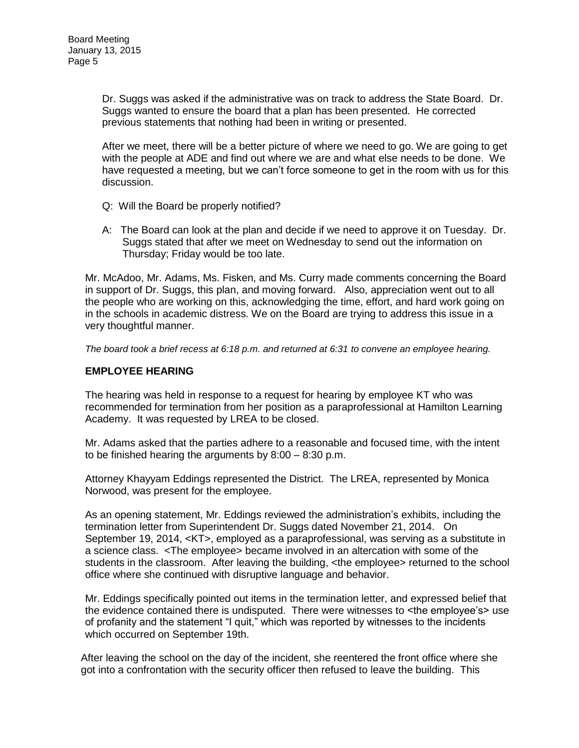Dr. Suggs was asked if the administrative was on track to address the State Board. Dr. Suggs wanted to ensure the board that a plan has been presented. He corrected previous statements that nothing had been in writing or presented.

After we meet, there will be a better picture of where we need to go. We are going to get with the people at ADE and find out where we are and what else needs to be done. We have requested a meeting, but we can't force someone to get in the room with us for this discussion.

- Q: Will the Board be properly notified?
- A: The Board can look at the plan and decide if we need to approve it on Tuesday. Dr. Suggs stated that after we meet on Wednesday to send out the information on Thursday; Friday would be too late.

Mr. McAdoo, Mr. Adams, Ms. Fisken, and Ms. Curry made comments concerning the Board in support of Dr. Suggs, this plan, and moving forward. Also, appreciation went out to all the people who are working on this, acknowledging the time, effort, and hard work going on in the schools in academic distress. We on the Board are trying to address this issue in a very thoughtful manner.

*The board took a brief recess at 6:18 p.m. and returned at 6:31 to convene an employee hearing.* 

#### **EMPLOYEE HEARING**

The hearing was held in response to a request for hearing by employee KT who was recommended for termination from her position as a paraprofessional at Hamilton Learning Academy. It was requested by LREA to be closed.

Mr. Adams asked that the parties adhere to a reasonable and focused time, with the intent to be finished hearing the arguments by 8:00 – 8:30 p.m.

Attorney Khayyam Eddings represented the District. The LREA, represented by Monica Norwood, was present for the employee.

As an opening statement, Mr. Eddings reviewed the administration's exhibits, including the termination letter from Superintendent Dr. Suggs dated November 21, 2014. On September 19, 2014, <KT>, employed as a paraprofessional, was serving as a substitute in a science class. <The employee> became involved in an altercation with some of the students in the classroom. After leaving the building, <the employee> returned to the school office where she continued with disruptive language and behavior.

Mr. Eddings specifically pointed out items in the termination letter, and expressed belief that the evidence contained there is undisputed. There were witnesses to <the employee's> use of profanity and the statement "I quit," which was reported by witnesses to the incidents which occurred on September 19th.

After leaving the school on the day of the incident, she reentered the front office where she got into a confrontation with the security officer then refused to leave the building. This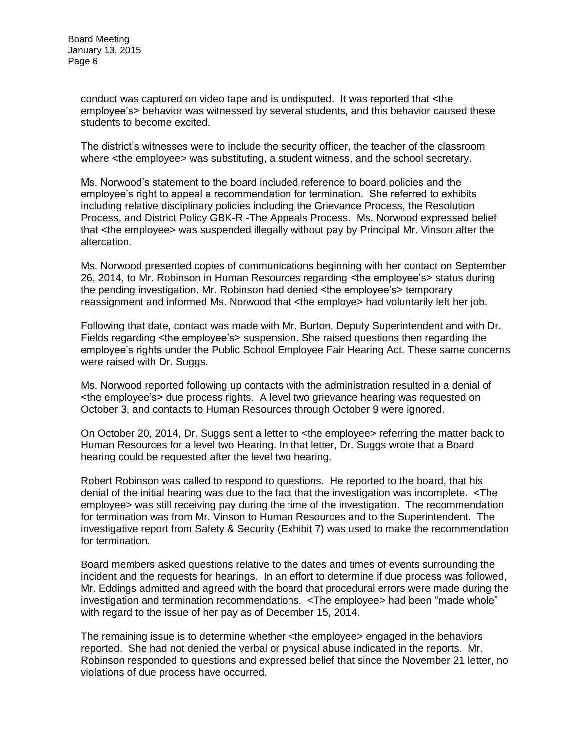conduct was captured on video tape and is undisputed. It was reported that <the employee's> behavior was witnessed by several students, and this behavior caused these students to become excited.

The district's witnesses were to include the security officer, the teacher of the classroom where <the employee> was substituting, a student witness, and the school secretary.

Ms. Norwood's statement to the board included reference to board policies and the employee's right to appeal a recommendation for termination. She referred to exhibits including relative disciplinary policies including the Grievance Process, the Resolution Process, and District Policy GBK-R -The Appeals Process. Ms. Norwood expressed belief that <the employee> was suspended illegally without pay by Principal Mr. Vinson after the altercation.

Ms. Norwood presented copies of communications beginning with her contact on September 26, 2014, to Mr. Robinson in Human Resources regarding <the employee's> status during the pending investigation. Mr. Robinson had denied <the employee's> temporary reassignment and informed Ms. Norwood that <the employe> had voluntarily left her job.

Following that date, contact was made with Mr. Burton, Deputy Superintendent and with Dr. Fields regarding <the employee's> suspension. She raised questions then regarding the employee's rights under the Public School Employee Fair Hearing Act. These same concerns were raised with Dr. Suggs.

Ms. Norwood reported following up contacts with the administration resulted in a denial of <the employee's> due process rights. A level two grievance hearing was requested on October 3, and contacts to Human Resources through October 9 were ignored.

On October 20, 2014, Dr. Suggs sent a letter to <the employee> referring the matter back to Human Resources for a level two Hearing. In that letter, Dr. Suggs wrote that a Board hearing could be requested after the level two hearing.

Robert Robinson was called to respond to questions. He reported to the board, that his denial of the initial hearing was due to the fact that the investigation was incomplete. <The employee> was still receiving pay during the time of the investigation. The recommendation for termination was from Mr. Vinson to Human Resources and to the Superintendent. The investigative report from Safety & Security (Exhibit 7) was used to make the recommendation for termination.

Board members asked questions relative to the dates and times of events surrounding the incident and the requests for hearings. In an effort to determine if due process was followed, Mr. Eddings admitted and agreed with the board that procedural errors were made during the investigation and termination recommendations. <The employee> had been "made whole" with regard to the issue of her pay as of December 15, 2014.

The remaining issue is to determine whether <the employee> engaged in the behaviors reported. She had not denied the verbal or physical abuse indicated in the reports. Mr. Robinson responded to questions and expressed belief that since the November 21 letter, no violations of due process have occurred.